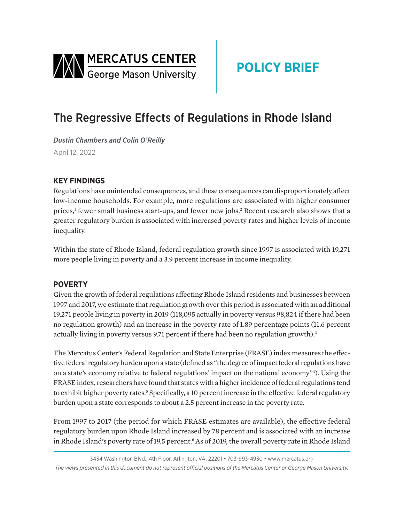<span id="page-0-0"></span>

# **POLICY BRIEF**

## The Regressive Effects of Regulations in Rhode Island

*Dustin Chambers and Colin O'Reilly*  April 12, 2022

### **KEY FINDINGS**

Regulations have unintended consequences, and these consequences can disproportionately affect low-income households. For example, more regulations are associated with higher consumer prices,<sup>[1](#page-2-0)</sup> fewer small business start-ups, and fewer new jobs.<sup>[2](#page-2-0)</sup> Recent research also shows that a greater regulatory burden is associated with increased poverty rates and higher levels of income inequality.

Within the state of Rhode Island, federal regulation growth since 1997 is associated with 19,271 more people living in poverty and a 3.9 percent increase in income inequality.

#### **POVERTY**

Given the growth of federal regulations affecting Rhode Island residents and businesses between 1997 and 2017, we estimate that regulation growth over this period is associated with an additional 19,271 people living in poverty in 2019 (118,095 actually in poverty versus 98,824 if there had been no regulation growth) and an increase in the poverty rate of 1.89 percentage points (11.6 percent actually living in poverty versus 9.71 percent if there had been no regulation growth).<sup>3</sup>

The Mercatus Center's Federal Regulation and State Enterprise (FRASE) index measures the effective federal regulatory burden upon a state (defined as "the degree of impact federal regulations have on a state's economy relative to federal regulations' impact on the national economy["4](#page-2-0) ). Using the FRASE index, researchers have found that states with a higher incidence of federal regulations tend to exhibit higher poverty rates.<sup>5</sup> Specifically, a 10 percent increase in the effective federal regulatory burden upon a state corresponds to about a 2.5 percent increase in the poverty rate.

From 1997 to 2017 (the period for which FRASE estimates are available), the effective federal regulatory burden upon Rhode Island increased by 78 percent and is associated with an increase in Rhode Island's poverty rate of 19.5 percent.<sup>6</sup> As of 2019, the overall poverty rate in Rhode Island

<sup>3434</sup> Washington Blvd., 4th Floor, Arlington, VA, 22201 • 703-993-4930 • www.mercatus.org *The views presented in this document do not represent official positions of the Mercatus Center or George Mason University.*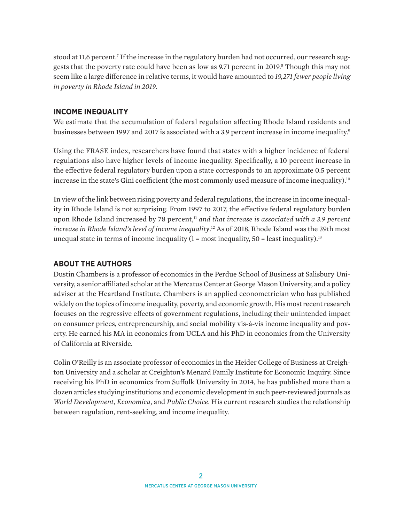<span id="page-1-0"></span>stood at 11.6 percent.<sup>7</sup> If the increase in the regulatory burden had not occurred, our research suggests that the poverty rate could have been as low as 9.71 percent in 2019.<sup>8</sup> Though this may not seem like a large difference in relative terms, it would have amounted to *19,271 fewer people living in poverty in Rhode Island in 2019*.

#### **INCOME INEQUALITY**

We estimate that the accumulation of federal regulation affecting Rhode Island residents and businesses between 1[9](#page-2-0)97 and 2017 is associated with a 3.9 percent increase in income inequality.<sup>9</sup>

Using the FRASE index, researchers have found that states with a higher incidence of federal regulations also have higher levels of income inequality. Specifically, a 10 percent increase in the effective federal regulatory burden upon a state corresponds to an approximate 0.5 percent increase in the state's Gini coefficient (the most commonly used measure of income inequality).<sup>[10](#page-2-0)</sup>

In view of the link between rising poverty and federal regulations, the increase in income inequality in Rhode Island is not surprising. From 1997 to 2017, the effective federal regulatory burden upon Rhode Island increased by 78 percent,<sup>11</sup> *and that increase is associated with a 3.9 percent increase in Rhode Island's level of income inequality*. [12](#page-2-0) As of 2018, Rhode Island was the 39th most unequal state in terms of income inequality  $(1 = most inequality, 50 = least inequality).<sup>13</sup>$ 

#### **ABOUT THE AUTHORS**

Dustin Chambers is a professor of economics in the Perdue School of Business at Salisbury University, a senior affiliated scholar at the Mercatus Center at George Mason University, and a policy adviser at the Heartland Institute. Chambers is an applied econometrician who has published widely on the topics of income inequality, poverty, and economic growth. His most recent research focuses on the regressive effects of government regulations, including their unintended impact on consumer prices, entrepreneurship, and social mobility vis-à-vis income inequality and poverty. He earned his MA in economics from UCLA and his PhD in economics from the University of California at Riverside.

Colin O'Reilly is an associate professor of economics in the Heider College of Business at Creighton University and a scholar at Creighton's Menard Family Institute for Economic Inquiry. Since receiving his PhD in economics from Suffolk University in 2014, he has published more than a dozen articles studying institutions and economic development in such peer-reviewed journals as *World Development*, *Economica*, and *Public Choice*. His current research studies the relationship between regulation, rent-seeking, and income inequality.